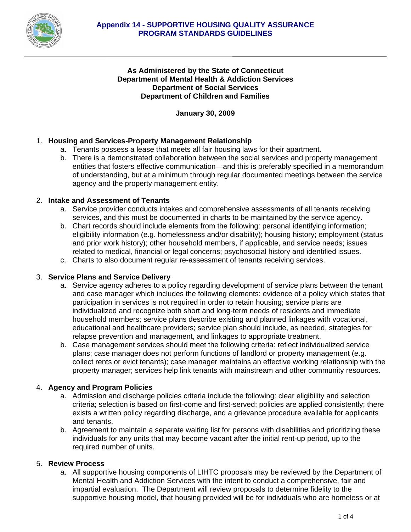

# **As Administered by the State of Connecticut Department of Mental Health & Addiction Services Department of Social Services Department of Children and Families**

**January 30, 2009** 

# 1. **Housing and Services-Property Management Relationship**

- a. Tenants possess a lease that meets all fair housing laws for their apartment.
- b. There is a demonstrated collaboration between the social services and property management entities that fosters effective communication—and this is preferably specified in a memorandum of understanding, but at a minimum through regular documented meetings between the service agency and the property management entity.

## 2. **Intake and Assessment of Tenants**

- a. Service provider conducts intakes and comprehensive assessments of all tenants receiving services, and this must be documented in charts to be maintained by the service agency.
- b. Chart records should include elements from the following: personal identifying information; eligibility information (e.g. homelessness and/or disability); housing history; employment (status and prior work history); other household members, if applicable, and service needs; issues related to medical, financial or legal concerns; psychosocial history and identified issues.
- c. Charts to also document regular re-assessment of tenants receiving services.

## 3. **Service Plans and Service Delivery**

- a. Service agency adheres to a policy regarding development of service plans between the tenant and case manager which includes the following elements: evidence of a policy which states that participation in services is not required in order to retain housing; service plans are individualized and recognize both short and long-term needs of residents and immediate household members; service plans describe existing and planned linkages with vocational, educational and healthcare providers; service plan should include, as needed, strategies for relapse prevention and management, and linkages to appropriate treatment.
- b. Case management services should meet the following criteria: reflect individualized service plans; case manager does not perform functions of landlord or property management (e.g. collect rents or evict tenants); case manager maintains an effective working relationship with the property manager; services help link tenants with mainstream and other community resources.

## 4. **Agency and Program Policies**

- a. Admission and discharge policies criteria include the following: clear eligibility and selection criteria; selection is based on first-come and first-served; policies are applied consistently; there exists a written policy regarding discharge, and a grievance procedure available for applicants and tenants.
- b. Agreement to maintain a separate waiting list for persons with disabilities and prioritizing these individuals for any units that may become vacant after the initial rent-up period, up to the required number of units.

## 5. **Review Process**

a. All supportive housing components of LIHTC proposals may be reviewed by the Department of Mental Health and Addiction Services with the intent to conduct a comprehensive, fair and impartial evaluation. The Department will review proposals to determine fidelity to the supportive housing model, that housing provided will be for individuals who are homeless or at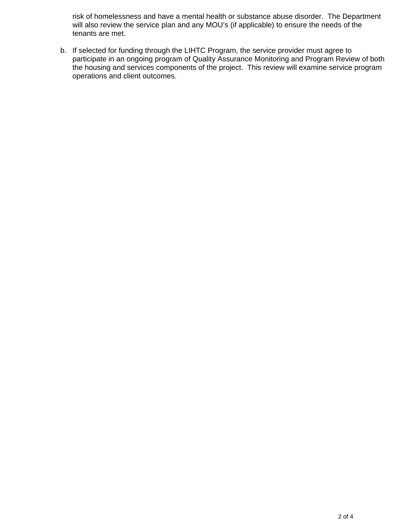risk of homelessness and have a mental health or substance abuse disorder. The Department will also review the service plan and any MOU's (if applicable) to ensure the needs of the tenants are met.

b. If selected for funding through the LIHTC Program, the service provider must agree to participate in an ongoing program of Quality Assurance Monitoring and Program Review of both the housing and services components of the project. This review will examine service program operations and client outcomes.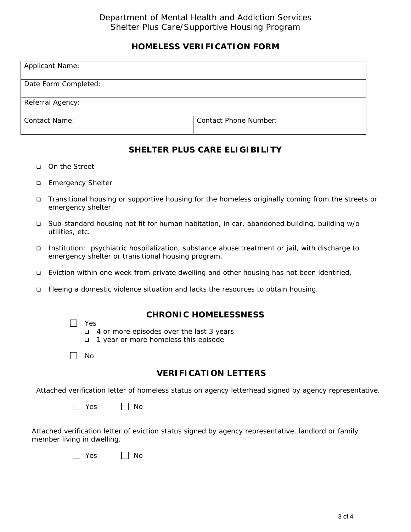# **HOMELESS VERIFICATION FORM**

| <b>Applicant Name:</b> |                              |
|------------------------|------------------------------|
|                        |                              |
|                        |                              |
| Date Form Completed:   |                              |
|                        |                              |
|                        |                              |
| Referral Agency:       |                              |
|                        |                              |
|                        |                              |
| <b>Contact Name:</b>   | <b>Contact Phone Number:</b> |
|                        |                              |
|                        |                              |

# **SHELTER PLUS CARE ELIGIBILITY**

- On the Street
- **Emergency Shelter**
- □ Transitional housing or supportive housing for the homeless originally coming from the streets or emergency shelter.
- Sub-standard housing not fit for human habitation, in car, abandoned building, building w/o utilities, etc.
- Institution: psychiatric hospitalization, substance abuse treatment or jail, with discharge to emergency shelter or transitional housing program.
- Eviction within one week from private dwelling and other housing has not been identified.
- Fleeing a domestic violence situation and lacks the resources to obtain housing.

Yes

# **CHRONIC HOMELESSNESS**

- 4 or more episodes over the last 3 years
- 1 year or more homeless this episode

| No

# **VERIFICATION LETTERS**

Attached verification letter of homeless status on agency letterhead signed by agency representative.

|  | <b>Yes</b> |  | No |
|--|------------|--|----|
|--|------------|--|----|

Attached verification letter of eviction status signed by agency representative, landlord or family member living in dwelling.

| v<br>∩∩ | Nο |
|---------|----|
|---------|----|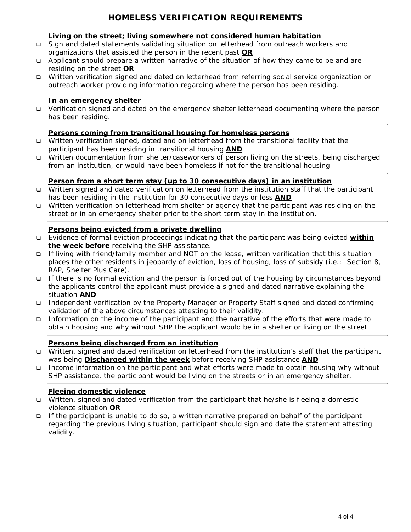# **HOMELESS VERIFICATION REQUIREMENTS**

#### **Living on the street; living somewhere not considered human habitation**

- Sign and dated statements validating situation on letterhead from outreach workers and organizations that assisted the person in the recent past **OR**
- $\Box$  Applicant should prepare a written narrative of the situation of how they came to be and are residing on the street **OR**
- Written verification signed and dated on letterhead from referring social service organization or outreach worker providing information regarding where the person has been residing.

#### **In an emergency shelter**

 Verification signed and dated on the emergency shelter letterhead documenting where the person has been residing.

#### **Persons coming from transitional housing for homeless persons**

- □ Written verification signed, dated and on letterhead from the transitional facility that the participant has been residing in transitional housing **AND**
- Written documentation from shelter/caseworkers of person living on the streets, being discharged from an institution, or would have been homeless if not for the transitional housing.

## **Person from a short term stay (up to 30 consecutive days) in an institution**

- Written signed and dated verification on letterhead from the institution staff that the participant has been residing in the institution for 30 consecutive days or less **AND**
- Written verification on letterhead from shelter or agency that the participant was residing on the street or in an emergency shelter prior to the short term stay in the institution.

#### **Persons being evicted from a private dwelling**

- Evidence of formal eviction proceedings indicating that the participant was being evicted **within the week before** receiving the SHP assistance.
- If living with friend/family member and NOT on the lease, written verification that this situation places the other residents in jeopardy of eviction, loss of housing, loss of subsidy (i.e.: Section 8, RAP, Shelter Plus Care).
- If there is no formal eviction and the person is forced out of the housing by circumstances beyond the applicants control the applicant must provide a signed and dated narrative explaining the situation **AND**
- Independent verification by the Property Manager or Property Staff signed and dated confirming validation of the above circumstances attesting to their validity.
- Information on the income of the participant and the narrative of the efforts that were made to obtain housing and why without SHP the applicant would be in a shelter or living on the street.

#### **Persons being discharged from an institution**

- Written, signed and dated verification on letterhead from the institution's staff that the participant was being **Discharged within the week** before receiving SHP assistance **AND**
- Income information on the participant and what efforts were made to obtain housing why without SHP assistance, the participant would be living on the streets or in an emergency shelter.

## **Fleeing domestic violence**

- Written, signed and dated verification from the participant that he/she is fleeing a domestic violence situation **OR**
- If the participant is unable to do so, a written narrative prepared on behalf of the participant regarding the previous living situation, participant should sign and date the statement attesting validity.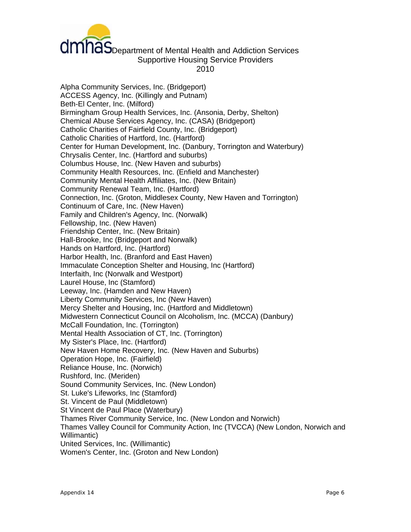

# dmhas<br>Communicated Health and Addiction Services Supportive Housing Service Providers 2010

Alpha Community Services, Inc. (Bridgeport) ACCESS Agency, Inc. (Killingly and Putnam) Beth-El Center, Inc. (Milford) Birmingham Group Health Services, Inc. (Ansonia, Derby, Shelton) Chemical Abuse Services Agency, Inc. (CASA) (Bridgeport) Catholic Charities of Fairfield County, Inc. (Bridgeport) Catholic Charities of Hartford, Inc. (Hartford) Center for Human Development, Inc. (Danbury, Torrington and Waterbury) Chrysalis Center, Inc. (Hartford and suburbs) Columbus House, Inc. (New Haven and suburbs) Community Health Resources, Inc. (Enfield and Manchester) Community Mental Health Affiliates, Inc. (New Britain) Community Renewal Team, Inc. (Hartford) Connection, Inc. (Groton, Middlesex County, New Haven and Torrington) Continuum of Care, Inc. (New Haven) Family and Children's Agency, Inc. (Norwalk) Fellowship, Inc. (New Haven) Friendship Center, Inc. (New Britain) Hall-Brooke, Inc (Bridgeport and Norwalk) Hands on Hartford, Inc. (Hartford) Harbor Health, Inc. (Branford and East Haven) Immaculate Conception Shelter and Housing, Inc (Hartford) Interfaith, Inc (Norwalk and Westport) Laurel House, Inc (Stamford) Leeway, Inc. (Hamden and New Haven) Liberty Community Services, Inc (New Haven) Mercy Shelter and Housing, Inc. (Hartford and Middletown) Midwestern Connecticut Council on Alcoholism, Inc. (MCCA) (Danbury) McCall Foundation, Inc. (Torrington) Mental Health Association of CT, Inc. (Torrington) My Sister's Place, Inc. (Hartford) New Haven Home Recovery, Inc. (New Haven and Suburbs) Operation Hope, Inc. (Fairfield) Reliance House, Inc. (Norwich) Rushford, Inc. (Meriden) Sound Community Services, Inc. (New London) St. Luke's Lifeworks, Inc (Stamford) St. Vincent de Paul (Middletown) St Vincent de Paul Place (Waterbury) Thames River Community Service, Inc. (New London and Norwich) Thames Valley Council for Community Action, Inc (TVCCA) (New London, Norwich and Willimantic) United Services, Inc. (Willimantic) Women's Center, Inc. (Groton and New London)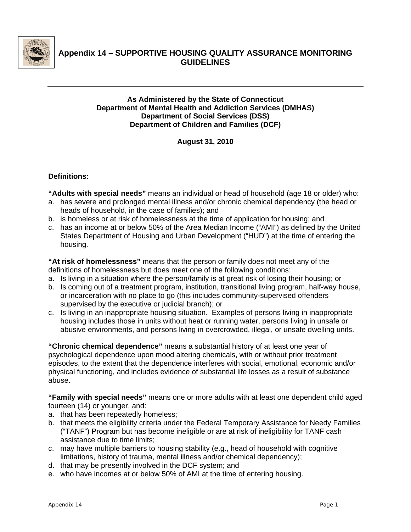

# **Appendix 14 – SUPPORTIVE HOUSING QUALITY ASSURANCE MONITORING GUIDELINES**

# **As Administered by the State of Connecticut Department of Mental Health and Addiction Services (DMHAS) Department of Social Services (DSS) Department of Children and Families (DCF)**

**August 31, 2010** 

# **Definitions:**

**"Adults with special needs"** means an individual or head of household (age 18 or older) who:

- a. has severe and prolonged mental illness and/or chronic chemical dependency (the head or heads of household, in the case of families); and
- b. is homeless or at risk of homelessness at the time of application for housing; and
- c. has an income at or below 50% of the Area Median Income ("AMI") as defined by the United States Department of Housing and Urban Development ("HUD") at the time of entering the housing.

**"At risk of homelessness"** means that the person or family does not meet any of the definitions of homelessness but does meet one of the following conditions:

- a. Is living in a situation where the person/family is at great risk of losing their housing; or
- b. Is coming out of a treatment program, institution, transitional living program, half-way house, or incarceration with no place to go (this includes community-supervised offenders supervised by the executive or judicial branch); or
- c. Is living in an inappropriate housing situation. Examples of persons living in inappropriate housing includes those in units without heat or running water, persons living in unsafe or abusive environments, and persons living in overcrowded, illegal, or unsafe dwelling units.

**"Chronic chemical dependence"** means a substantial history of at least one year of psychological dependence upon mood altering chemicals, with or without prior treatment episodes, to the extent that the dependence interferes with social, emotional, economic and/or physical functioning, and includes evidence of substantial life losses as a result of substance abuse.

**"Family with special needs"** means one or more adults with at least one dependent child aged fourteen (14) or younger, and:

- a. that has been repeatedly homeless;
- b. that meets the eligibility criteria under the Federal Temporary Assistance for Needy Families ("TANF") Program but has become ineligible or are at risk of ineligibility for TANF cash assistance due to time limits;
- c. may have multiple barriers to housing stability (e.g., head of household with cognitive limitations, history of trauma, mental illness and/or chemical dependency);
- d. that may be presently involved in the DCF system; and
- e. who have incomes at or below 50% of AMI at the time of entering housing.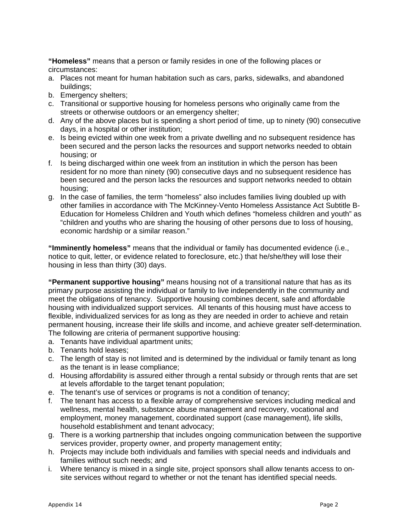**"Homeless"** means that a person or family resides in one of the following places or circumstances:

- a. Places not meant for human habitation such as cars, parks, sidewalks, and abandoned buildings;
- b. Emergency shelters;
- c. Transitional or supportive housing for homeless persons who originally came from the streets or otherwise outdoors or an emergency shelter;
- d. Any of the above places but is spending a short period of time, up to ninety (90) consecutive days, in a hospital or other institution;
- e. Is being evicted within one week from a private dwelling and no subsequent residence has been secured and the person lacks the resources and support networks needed to obtain housing; or
- f. Is being discharged within one week from an institution in which the person has been resident for no more than ninety (90) consecutive days and no subsequent residence has been secured and the person lacks the resources and support networks needed to obtain housing;
- g. In the case of families, the term "homeless" also includes families living doubled up with other families in accordance with The McKinney-Vento Homeless Assistance Act Subtitle B-Education for Homeless Children and Youth which defines "homeless children and youth" as "children and youths who are sharing the housing of other persons due to loss of housing, economic hardship or a similar reason."

**"Imminently homeless"** means that the individual or family has documented evidence (i.e., notice to quit, letter, or evidence related to foreclosure, etc.) that he/she/they will lose their housing in less than thirty (30) days.

**"Permanent supportive housing"** means housing not of a transitional nature that has as its primary purpose assisting the individual or family to live independently in the community and meet the obligations of tenancy. Supportive housing combines decent, safe and affordable housing with individualized support services. All tenants of this housing must have access to flexible, individualized services for as long as they are needed in order to achieve and retain permanent housing, increase their life skills and income, and achieve greater self-determination. The following are criteria of permanent supportive housing:

- a. Tenants have individual apartment units;
- b. Tenants hold leases;
- c. The length of stay is not limited and is determined by the individual or family tenant as long as the tenant is in lease compliance;
- d. Housing affordability is assured either through a rental subsidy or through rents that are set at levels affordable to the target tenant population;
- e. The tenant's use of services or programs is not a condition of tenancy;
- f. The tenant has access to a flexible array of comprehensive services including medical and wellness, mental health, substance abuse management and recovery, vocational and employment, money management, coordinated support (case management), life skills, household establishment and tenant advocacy;
- g. There is a working partnership that includes ongoing communication between the supportive services provider, property owner, and property management entity;
- h. Projects may include both individuals and families with special needs and individuals and families without such needs; and
- i. Where tenancy is mixed in a single site, project sponsors shall allow tenants access to onsite services without regard to whether or not the tenant has identified special needs.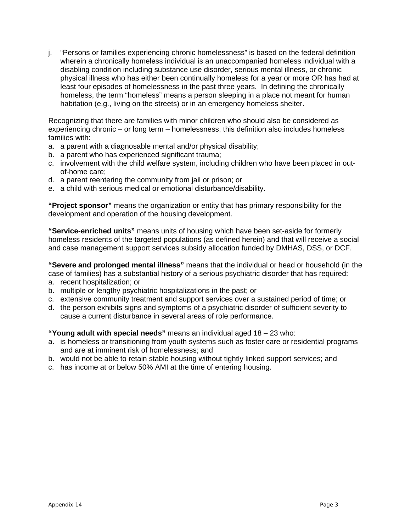j. "Persons or families experiencing chronic homelessness" is based on the federal definition wherein a chronically homeless individual is an unaccompanied homeless individual with a disabling condition including substance use disorder, serious mental illness, or chronic physical illness who has either been continually homeless for a year or more OR has had at least four episodes of homelessness in the past three years. In defining the chronically homeless, the term "homeless" means a person sleeping in a place not meant for human habitation (e.g., living on the streets) or in an emergency homeless shelter.

Recognizing that there are families with minor children who should also be considered as experiencing chronic – or long term – homelessness, this definition also includes homeless families with:

- a. a parent with a diagnosable mental and/or physical disability;
- b. a parent who has experienced significant trauma;
- c. involvement with the child welfare system, including children who have been placed in outof-home care;
- d. a parent reentering the community from jail or prison; or
- e. a child with serious medical or emotional disturbance/disability.

**"Project sponsor"** means the organization or entity that has primary responsibility for the development and operation of the housing development.

**"Service-enriched units"** means units of housing which have been set-aside for formerly homeless residents of the targeted populations (as defined herein) and that will receive a social and case management support services subsidy allocation funded by DMHAS, DSS, or DCF.

**"Severe and prolonged mental illness"** means that the individual or head or household (in the case of families) has a substantial history of a serious psychiatric disorder that has required:

- a. recent hospitalization; or
- b. multiple or lengthy psychiatric hospitalizations in the past; or
- c. extensive community treatment and support services over a sustained period of time; or
- d. the person exhibits signs and symptoms of a psychiatric disorder of sufficient severity to cause a current disturbance in several areas of role performance.

**"Young adult with special needs"** means an individual aged 18 – 23 who:

- a. is homeless or transitioning from youth systems such as foster care or residential programs and are at imminent risk of homelessness; and
- b. would not be able to retain stable housing without tightly linked support services; and
- c. has income at or below 50% AMI at the time of entering housing.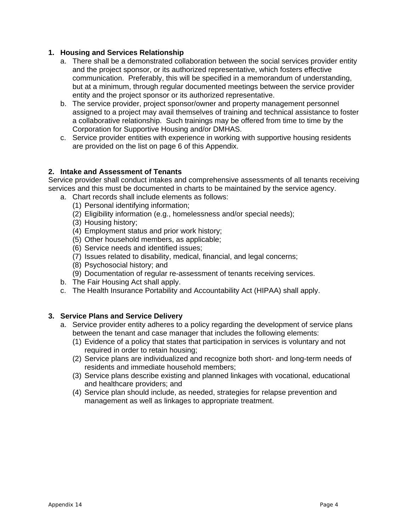#### **1. Housing and Services Relationship**

- a. There shall be a demonstrated collaboration between the social services provider entity and the project sponsor, or its authorized representative, which fosters effective communication. Preferably, this will be specified in a memorandum of understanding, but at a minimum, through regular documented meetings between the service provider entity and the project sponsor or its authorized representative.
- b. The service provider, project sponsor/owner and property management personnel assigned to a project may avail themselves of training and technical assistance to foster a collaborative relationship. Such trainings may be offered from time to time by the Corporation for Supportive Housing and/or DMHAS.
- c. Service provider entities with experience in working with supportive housing residents are provided on the list on page 6 of this Appendix.

#### **2. Intake and Assessment of Tenants**

Service provider shall conduct intakes and comprehensive assessments of all tenants receiving services and this must be documented in charts to be maintained by the service agency.

- a. Chart records shall include elements as follows:
	- (1) Personal identifying information;
	- (2) Eligibility information (e.g., homelessness and/or special needs);
	- (3) Housing history;
	- (4) Employment status and prior work history;
	- (5) Other household members, as applicable;
	- (6) Service needs and identified issues;
	- (7) Issues related to disability, medical, financial, and legal concerns;
	- (8) Psychosocial history; and
	- (9) Documentation of regular re-assessment of tenants receiving services.
- b. The Fair Housing Act shall apply.
- c. The Health Insurance Portability and Accountability Act (HIPAA) shall apply.

## **3. Service Plans and Service Delivery**

- a. Service provider entity adheres to a policy regarding the development of service plans between the tenant and case manager that includes the following elements:
	- (1) Evidence of a policy that states that participation in services is voluntary and not required in order to retain housing;
	- (2) Service plans are individualized and recognize both short- and long-term needs of residents and immediate household members;
	- (3) Service plans describe existing and planned linkages with vocational, educational and healthcare providers; and
	- (4) Service plan should include, as needed, strategies for relapse prevention and management as well as linkages to appropriate treatment.